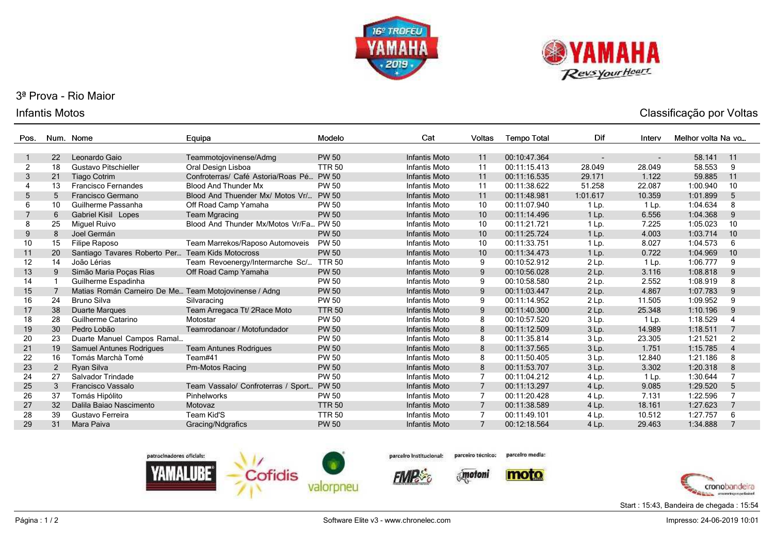



# 3ª Prova - Rio Maior

### Infantis Motos

| Pos.              | Num.           | Nome                                                  | Equipa                                   | Modelo        | Cat                  | Voltas         | <b>Tempo Total</b> | Dif      | Interv  | Melhor volta Na vo |                |
|-------------------|----------------|-------------------------------------------------------|------------------------------------------|---------------|----------------------|----------------|--------------------|----------|---------|--------------------|----------------|
|                   |                |                                                       |                                          |               |                      |                |                    |          |         |                    |                |
|                   | 22             | Leonardo Gaio                                         | Teammotojovinense/Admg                   | <b>PW 50</b>  | Infantis Moto        | 11             | 00:10:47.364       |          | ٠       | 58.141             | 11             |
| 2                 | 18             | Gustavo Pitschieller                                  | Oral Design Lisboa                       | <b>TTR 50</b> | Infantis Moto        | 11             | 00:11:15.413       | 28.049   | 28.049  | 58.553             | 9              |
| 3                 | 21             | <b>Tiago Cotrim</b>                                   | Confroterras/ Café Astoria/Roas Pé PW 50 |               | <b>Infantis Moto</b> | 11             | 00:11:16.535       | 29.171   | 1.122   | 59.885             | 11             |
| 4                 | 13             | <b>Francisco Fernandes</b>                            | <b>Blood And Thunder Mx</b>              | <b>PW 50</b>  | Infantis Moto        | 11             | 00:11:38.622       | 51.258   | 22.087  | 1:00.940           | 10             |
| 5                 | 5              | Francisco Germano                                     | Blood And Thuender Mx/ Motos Vr/ PW 50   |               | <b>Infantis Moto</b> | 11             | 00:11:48.981       | 1:01.617 | 10.359  | 1:01.899           | 5              |
| 6                 | 10             | Guilherme Passanha                                    | Off Road Camp Yamaha                     | <b>PW 50</b>  | Infantis Moto        | 10             | 00:11:07.940       | $1$ Lp.  | 1 Lp.   | 1:04.634           | 8              |
| 7                 | 6              | Gabriel Kisil Lopes                                   | <b>Team Mgracing</b>                     | <b>PW 50</b>  | <b>Infantis Moto</b> | 10             | 00:11:14.496       | $1$ Lp.  | 6.556   | 1:04.368           | 9              |
| 8                 | 25             | Miguel Ruivo                                          | Blood And Thunder Mx/Motos Vr/Fa PW 50   |               | Infantis Moto        | 10             | 00:11:21.721       | $1$ Lp.  | 7.225   | 1:05.023           | 10             |
| 9                 | 8              | Joel Germán                                           |                                          | <b>PW 50</b>  | Infantis Moto        | 10             | 00:11:25.724       | $1$ Lp.  | 4.003   | 1:03.714           | 10             |
| 10                | 15             | Filipe Raposo                                         | Team Marrekos/Raposo Automoveis          | <b>PW 50</b>  | <b>Infantis Moto</b> | 10             | 00:11:33.751       | $1$ Lp.  | 8.027   | 1:04.573           | 6              |
| 11                | 20             | Santiago Tavares Roberto Per Team Kids Motocross      |                                          | <b>PW 50</b>  | <b>Infantis Moto</b> | 10             | 00:11:34.473       | 1 Lp.    | 0.722   | 1:04.969           | 10             |
| $12 \overline{ }$ | 14             | João Lérias                                           | Team Revoenergy/Intermarche Sc/          | <b>TTR 50</b> | Infantis Moto        | 9              | 00:10:52.912       | 2 Lp.    | 1 Lp.   | 1:06.777           | 9              |
| 13                | 9              | Simão Maria Poças Rias                                | Off Road Camp Yamaha                     | <b>PW 50</b>  | Infantis Moto        | 9              | 00:10:56.028       | $2$ Lp.  | 3.116   | 1:08.818           | 9              |
| 14                |                | Guilherme Espadinha                                   |                                          | <b>PW 50</b>  | Infantis Moto        | 9              | 00:10:58.580       | 2 Lp.    | 2.552   | 1:08.919           | 8              |
| 15                |                | Matias Román Carneiro De Me Team Motojovinense / Adng |                                          | <b>PW 50</b>  | Infantis Moto        | 9              | 00:11:03.447       | 2 Lp.    | 4.867   | 1:07.783           | 9              |
| 16                | 24             | <b>Bruno Silva</b>                                    | Silvaracing                              | <b>PW 50</b>  | Infantis Moto        | 9              | 00:11:14.952       | 2 Lp.    | 11.505  | 1:09.952           | 9              |
| 17                | 38             | Duarte Marques                                        | Team Arregaca Tt/ 2Race Moto             | <b>TTR 50</b> | Infantis Moto        | 9              | 00:11:40.300       | 2 Lp.    | 25.348  | 1:10.196           | 9              |
| 18                | 28             | Guilherme Catarino                                    | Motostar                                 | <b>PW 50</b>  | <b>Infantis Moto</b> | 8              | 00:10:57.520       | 3 Lp.    | $1$ Lp. | 1:18.529           |                |
| 19                | 30             | Pedro Lobão                                           | Teamrodanoar / Motofundador              | <b>PW 50</b>  | <b>Infantis Moto</b> | 8              | 00:11:12.509       | 3 Lp.    | 14.989  | 1:18.511           |                |
| 20                | 23             | Duarte Manuel Campos Ramal                            |                                          | <b>PW 50</b>  | Infantis Moto        | 8              | 00:11:35.814       | 3 Lp.    | 23.305  | 1:21.521           | $\overline{2}$ |
| 21                | 19             | <b>Samuel Antunes Rodrigues</b>                       | <b>Team Antunes Rodrigues</b>            | <b>PW 50</b>  | Infantis Moto        | 8              | 00:11:37.565       | 3 Lp.    | 1.751   | 1:15.785           | $\overline{4}$ |
| 22                | 16             | Tomás Marchà Tomé                                     | Team#41                                  | <b>PW 50</b>  | Infantis Moto        | 8              | 00:11:50.405       | 3 Lp.    | 12.840  | 1:21.186           | 8              |
| 23                | $\overline{2}$ | Ryan Silva                                            | Pm-Motos Racing                          | <b>PW 50</b>  | Infantis Moto        | 8              | 00:11:53.707       | 3 Lp.    | 3.302   | 1:20.318           | 8              |
| 24                | 27             | Salvador Trindade                                     |                                          | <b>PW 50</b>  | Infantis Moto        |                | 00:11:04.212       | 4 Lp.    | 1 Lp.   | 1:30.644           |                |
| 25                | 3              | Francisco Vassalo                                     | Team Vassalo/ Confroterras / Sport       | <b>PW 50</b>  | <b>Infantis Moto</b> | 7              | 00:11:13.297       | 4 Lp.    | 9.085   | 1:29.520           | 5              |
| 26                | 37             | Tomás Hipólito                                        | Pinhelworks                              | <b>PW 50</b>  | Infantis Moto        | 7              | 00:11:20.428       | 4 Lp.    | 7.131   | 1:22.596           |                |
| 27                | 32             | Dalila Baiao Nascimento                               | Motovaz                                  | <b>TTR 50</b> | <b>Infantis Moto</b> | 7              | 00:11:38.589       | 4 Lp.    | 18.161  | 1:27.623           |                |
| 28                | 39             | Gustavo Ferreira                                      | Team Kid'S                               | <b>TTR 50</b> | <b>Infantis Moto</b> |                | 00:11:49.101       | 4 Lp.    | 10.512  | 1:27.757           | 6              |
| 29                | 31             | Mara Paiva                                            | Gracing/Ndgrafics                        | <b>PW 50</b>  | <b>Infantis Moto</b> | $\overline{7}$ | 00:12:18.564       | 4 Lp.    | 29.463  | 1:34.888           |                |



parceiro Institucional:

parcelro media: parceiro técnico:

 $\delta_{\rm s}$  motoni

moto



Classificação por Voltas

Start : 15:43, Bandeira de chegada : 15:54